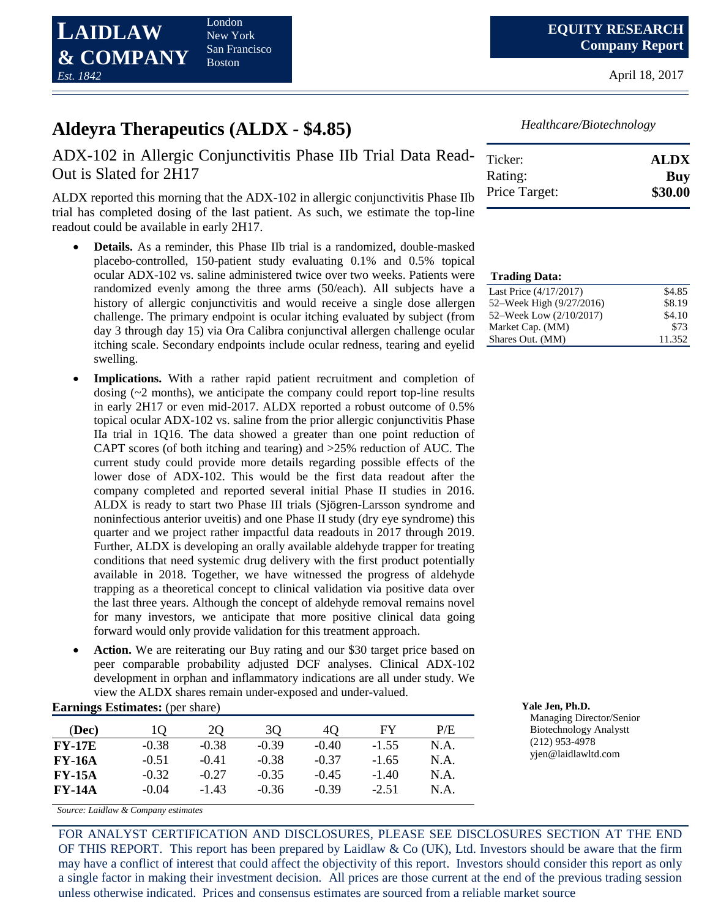**LAIDLAW & COMPANY** *Est. 1842* London New York San Francisco Boston

April 18, 2017

# **Aldeyra Therapeutics (ALDX - \$4.85)**

## ADX-102 in Allergic Conjunctivitis Phase IIb Trial Data Read-Out is Slated for 2H17

ALDX reported this morning that the ADX-102 in allergic conjunctivitis Phase IIb trial has completed dosing of the last patient. As such, we estimate the top-line readout could be available in early 2H17.

- **Details.** As a reminder, this Phase IIb trial is a randomized, double-masked placebo-controlled, 150-patient study evaluating 0.1% and 0.5% topical ocular ADX-102 vs. saline administered twice over two weeks. Patients were randomized evenly among the three arms (50/each). All subjects have a history of allergic conjunctivitis and would receive a single dose allergen challenge. The primary endpoint is ocular itching evaluated by subject (from day 3 through day 15) via Ora Calibra conjunctival allergen challenge ocular itching scale. Secondary endpoints include ocular redness, tearing and eyelid swelling.
- **Implications.** With a rather rapid patient recruitment and completion of dosing (~2 months), we anticipate the company could report top-line results in early 2H17 or even mid-2017. ALDX reported a robust outcome of 0.5% topical ocular ADX-102 vs. saline from the prior allergic conjunctivitis Phase IIa trial in 1Q16. The data showed a greater than one point reduction of CAPT scores (of both itching and tearing) and >25% reduction of AUC. The current study could provide more details regarding possible effects of the lower dose of ADX-102. This would be the first data readout after the company completed and reported several initial Phase II studies in 2016. ALDX is ready to start two Phase III trials (Sjögren-Larsson syndrome and noninfectious anterior uveitis) and one Phase II study (dry eye syndrome) this quarter and we project rather impactful data readouts in 2017 through 2019. Further, ALDX is developing an orally available aldehyde trapper for treating conditions that need systemic drug delivery with the first product potentially available in 2018. Together, we have witnessed the progress of aldehyde trapping as a theoretical concept to clinical validation via positive data over the last three years. Although the concept of aldehyde removal remains novel for many investors, we anticipate that more positive clinical data going forward would only provide validation for this treatment approach.
- **Action.** We are reiterating our Buy rating and our \$30 target price based on peer comparable probability adjusted DCF analyses. Clinical ADX-102 development in orphan and inflammatory indications are all under study. We view the ALDX shares remain under-exposed and under-valued.

## **Earnings Estimates:** (per share) *Yale Jen, Ph.D.*

| (Dec)         | 10      | 20      | 30      | 40      | FY      | P/E  |
|---------------|---------|---------|---------|---------|---------|------|
| $FY-17E$      | $-0.38$ | $-0.38$ | $-0.39$ | $-0.40$ | $-1.55$ | N.A. |
| <b>FY-16A</b> | $-0.51$ | $-0.41$ | $-0.38$ | $-0.37$ | $-1.65$ | N.A. |
| <b>FY-15A</b> | $-0.32$ | $-0.27$ | $-0.35$ | $-0.45$ | $-1.40$ | N.A. |
| <b>FY-14A</b> | $-0.04$ | $-1.43$ | $-0.36$ | $-0.39$ | $-2.51$ | N.A. |

*Source: Laidlaw & Company estimates*

FOR ANALYST CERTIFICATION AND DISCLOSURES, PLEASE SEE DISCLOSURES SECTION AT THE END OF THIS REPORT. This report has been prepared by Laidlaw & Co (UK), Ltd. Investors should be aware that the firm may have a conflict of interest that could affect the objectivity of this report. Investors should consider this report as only a single factor in making their investment decision. All prices are those current at the end of the previous trading session unless otherwise indicated. Prices and consensus estimates are sourced from a reliable market source

*Healthcare/Biotechnology*

| Ticker:       | <b>ALDX</b> |
|---------------|-------------|
| Rating:       | Buy         |
| Price Target: | \$30.00     |

| <b>Trading Data:</b>     |        |
|--------------------------|--------|
| Last Price (4/17/2017)   | \$4.85 |
| 52–Week High (9/27/2016) | \$8.19 |
| 52–Week Low (2/10/2017)  | \$4.10 |
| Market Cap. (MM)         | \$73   |
| Shares Out. (MM)         | 11.352 |

Managing Director/Senior Biotechnology Analystt (212) 953-4978 yjen@laidlawltd.com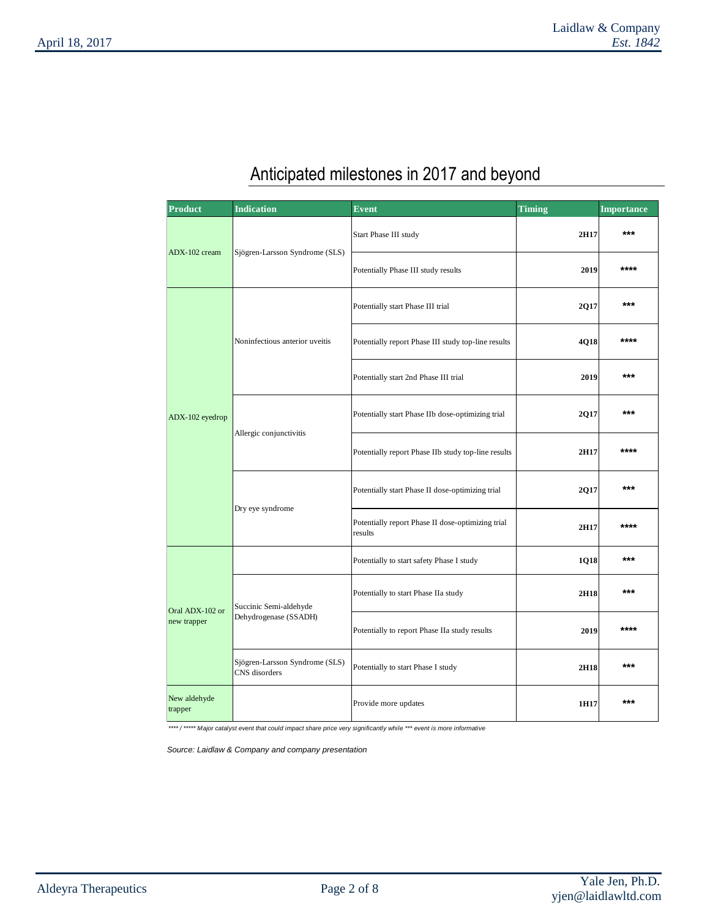# Anticipated milestones in 2017 and beyond

| <b>Product</b>                 | <b>Indication</b>                               | Event                                                        | <b>Timing</b> | <b>Importance</b> |
|--------------------------------|-------------------------------------------------|--------------------------------------------------------------|---------------|-------------------|
| ADX-102 cream                  | Sjögren-Larsson Syndrome (SLS)                  | Start Phase III study                                        | 2H17          | ***               |
|                                |                                                 | Potentially Phase III study results                          | 2019          | ****              |
|                                |                                                 | Potentially start Phase III trial                            | 2Q17          | $***$             |
|                                | Noninfectious anterior uveitis                  | Potentially report Phase III study top-line results          | 4Q18          | ****              |
|                                |                                                 | Potentially start 2nd Phase III trial                        | 2019          | ***               |
| ADX-102 eyedrop                |                                                 | Potentially start Phase IIb dose-optimizing trial            | 2Q17          | ***               |
|                                | Allergic conjunctivitis                         | Potentially report Phase IIb study top-line results          | 2H17          | ****              |
|                                |                                                 | Potentially start Phase II dose-optimizing trial             | 2Q17          | ***               |
|                                | Dry eye syndrome                                | Potentially report Phase II dose-optimizing trial<br>results | 2H17          | ****              |
| Oral ADX-102 or<br>new trapper |                                                 | Potentially to start safety Phase I study                    | 1Q18          | ***               |
|                                | Succinic Semi-aldehyde                          | Potentially to start Phase IIa study                         | 2H18          | ***               |
|                                | Dehydrogenase (SSADH)                           | Potentially to report Phase IIa study results                | 2019          | ****              |
|                                | Sjögren-Larsson Syndrome (SLS)<br>CNS disorders | Potentially to start Phase I study                           | 2H18          | ***               |
| New aldehyde<br>trapper        |                                                 | Provide more updates                                         | 1H17          | ***               |

*\*\*\*\* / \*\*\*\*\* Major catalyst event that could impact share price very significantly while \*\*\* event is more informative* 

*Source: Laidlaw & Company and company presentation*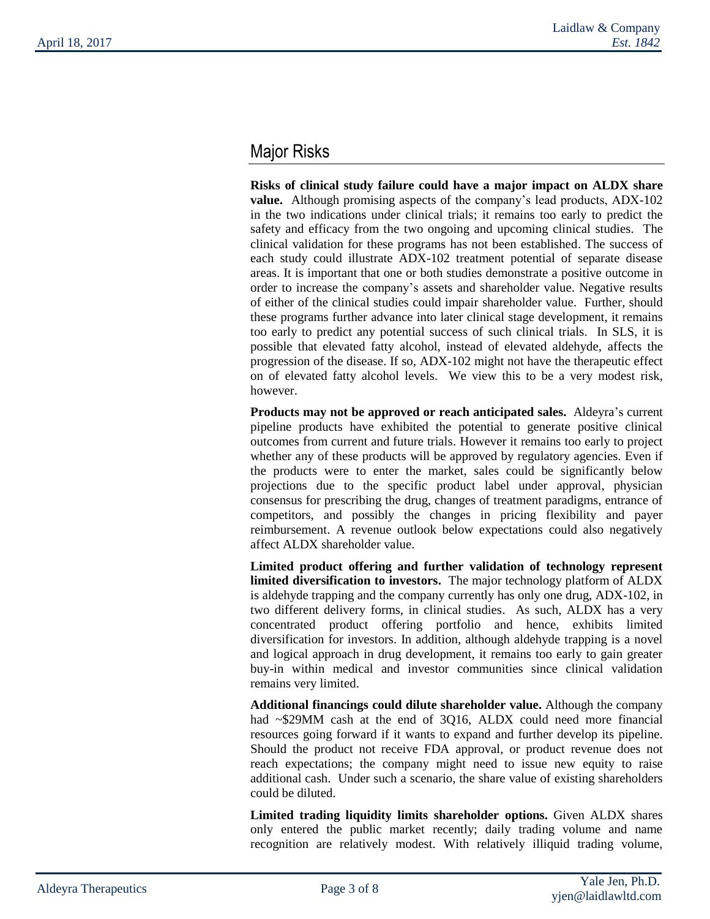# Major Risks

**Risks of clinical study failure could have a major impact on ALDX share value.** Although promising aspects of the company's lead products, ADX-102 in the two indications under clinical trials; it remains too early to predict the safety and efficacy from the two ongoing and upcoming clinical studies. The clinical validation for these programs has not been established. The success of each study could illustrate ADX-102 treatment potential of separate disease areas. It is important that one or both studies demonstrate a positive outcome in order to increase the company's assets and shareholder value. Negative results of either of the clinical studies could impair shareholder value. Further, should these programs further advance into later clinical stage development, it remains too early to predict any potential success of such clinical trials. In SLS, it is possible that elevated fatty alcohol, instead of elevated aldehyde, affects the progression of the disease. If so, ADX-102 might not have the therapeutic effect on of elevated fatty alcohol levels. We view this to be a very modest risk, however.

**Products may not be approved or reach anticipated sales.** Aldeyra's current pipeline products have exhibited the potential to generate positive clinical outcomes from current and future trials. However it remains too early to project whether any of these products will be approved by regulatory agencies. Even if the products were to enter the market, sales could be significantly below projections due to the specific product label under approval, physician consensus for prescribing the drug, changes of treatment paradigms, entrance of competitors, and possibly the changes in pricing flexibility and payer reimbursement. A revenue outlook below expectations could also negatively affect ALDX shareholder value.

**Limited product offering and further validation of technology represent limited diversification to investors.** The major technology platform of ALDX is aldehyde trapping and the company currently has only one drug, ADX-102, in two different delivery forms, in clinical studies. As such, ALDX has a very concentrated product offering portfolio and hence, exhibits limited diversification for investors. In addition, although aldehyde trapping is a novel and logical approach in drug development, it remains too early to gain greater buy-in within medical and investor communities since clinical validation remains very limited.

**Additional financings could dilute shareholder value.** Although the company had ~\$29MM cash at the end of 3Q16, ALDX could need more financial resources going forward if it wants to expand and further develop its pipeline. Should the product not receive FDA approval, or product revenue does not reach expectations; the company might need to issue new equity to raise additional cash. Under such a scenario, the share value of existing shareholders could be diluted.

**Limited trading liquidity limits shareholder options.** Given ALDX shares only entered the public market recently; daily trading volume and name recognition are relatively modest. With relatively illiquid trading volume,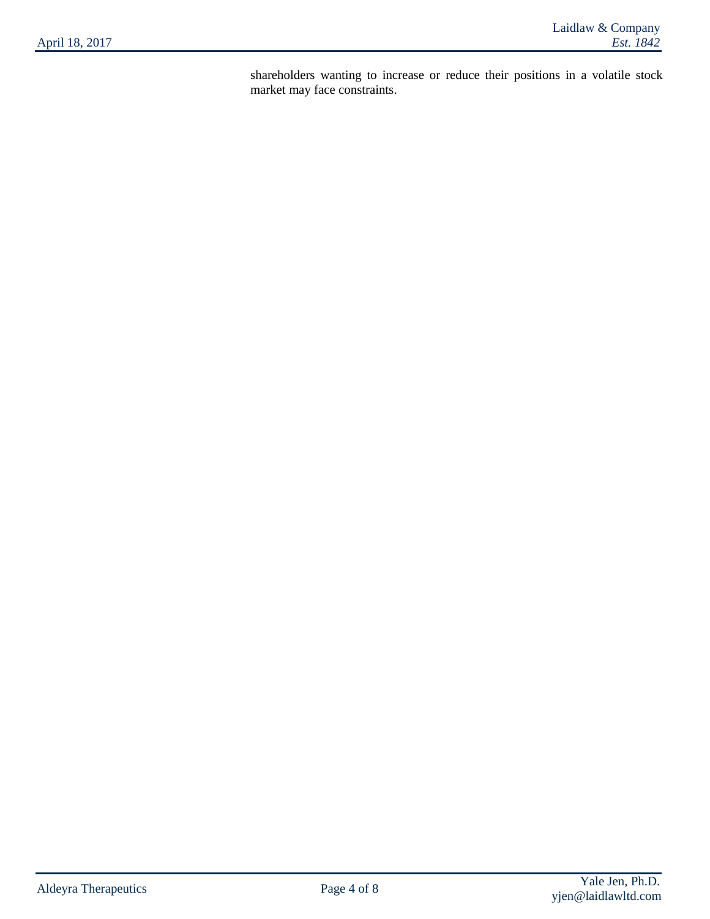shareholders wanting to increase or reduce their positions in a volatile stock market may face constraints.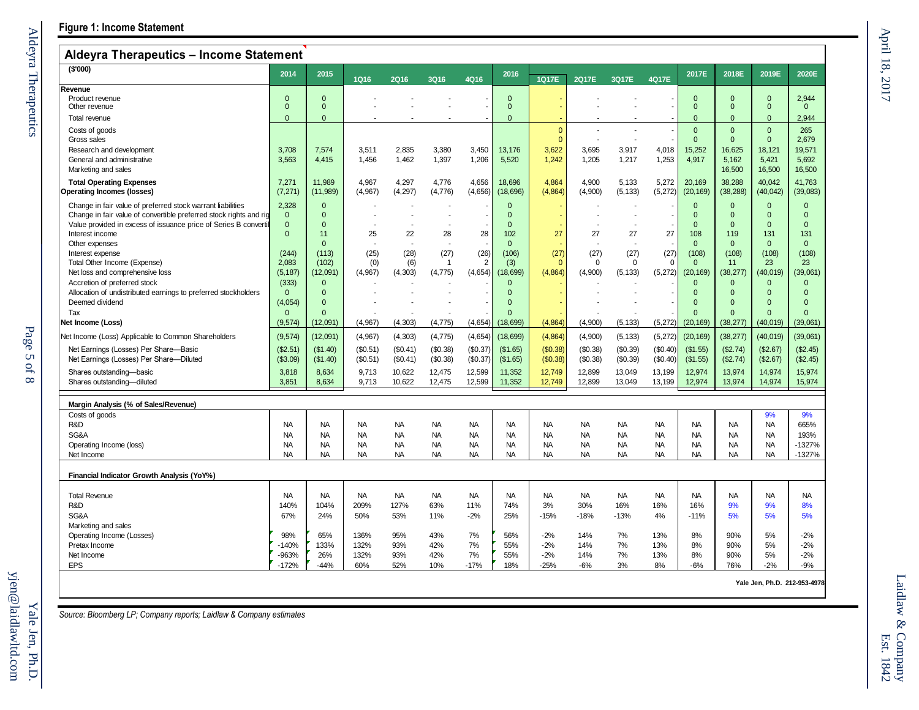| Aldeyra Therapeutics – income Statement                              |                              |                        |                        |                        |                        |                        |                        |                        |                        |                        |                        |                              |                        |                                |                       |
|----------------------------------------------------------------------|------------------------------|------------------------|------------------------|------------------------|------------------------|------------------------|------------------------|------------------------|------------------------|------------------------|------------------------|------------------------------|------------------------|--------------------------------|-----------------------|
| (\$'000)                                                             | 2014                         | 2015                   | <b>1Q16</b>            | <b>2Q16</b>            | <b>3Q16</b>            | 4Q16                   | 2016                   | 1Q17E                  | 2Q17E                  | 3Q17E                  | 4Q17E                  | 2017E                        | 2018E                  | 2019E                          | 2020E                 |
| Revenue                                                              |                              |                        |                        |                        |                        |                        |                        |                        |                        |                        |                        |                              |                        |                                |                       |
| Product revenue<br>Other revenue                                     | $\mathbf{0}$<br>$\mathbf{0}$ | $\Omega$<br>$\Omega$   |                        |                        |                        |                        | $\Omega$<br>$\Omega$   |                        |                        |                        |                        | $\mathbf{0}$<br>$\mathbf{0}$ | $\Omega$<br>$\Omega$   | $\mathbf{0}$<br>$\overline{0}$ | 2,944<br>$\mathbf{0}$ |
| Total revenue                                                        | $\Omega$                     | $\Omega$               |                        |                        |                        |                        | $\Omega$               |                        |                        |                        |                        | $\mathbf{0}$                 | $\Omega$               | $\mathbf{0}$                   | 2.944                 |
| Costs of goods                                                       |                              |                        |                        |                        |                        |                        |                        | $\mathbf{0}$           |                        |                        |                        | $\mathbf{0}$                 | $\mathbf{0}$           | $\overline{0}$                 | 265                   |
| Gross sales                                                          |                              |                        |                        |                        |                        |                        |                        | $\mathbf{0}$           |                        |                        |                        | $\mathbf{0}$                 | $\Omega$               | $\overline{0}$                 | 2.679                 |
| Research and development                                             | 3.708                        | 7.574                  | 3.511                  | 2.835                  | 3.380                  | 3.450                  | 13,176                 | 3,622                  | 3.695                  | 3,917                  | 4,018                  | 15,252                       | 16.625                 | 18.121                         | 19.571                |
| General and administrative                                           | 3,563                        | 4,415                  | 1,456                  | 1,462                  | 1,397                  | 1,206                  | 5,520                  | 1,242                  | 1,205                  | 1,217                  | 1,253                  | 4,917                        | 5,162                  | 5,421                          | 5,692                 |
| Marketing and sales                                                  |                              |                        |                        |                        |                        |                        |                        |                        |                        |                        |                        |                              | 16,500                 | 16,500                         | 16,500                |
| <b>Total Operating Expenses</b><br><b>Operating Incomes (losses)</b> | 7,271<br>(7, 271)            | 11,989<br>(11, 989)    | 4,967<br>(4,967)       | 4,297<br>(4, 297)      | 4,776<br>(4,776)       | 4,656<br>(4,656)       | 18,696<br>(18, 696)    | 4,864<br>(4,864)       | 4,900<br>(4,900)       | 5,133<br>(5, 133)      | 5,272<br>(5, 272)      | 20,169<br>(20, 169)          | 38,288<br>(38, 288)    | 40,042<br>(40, 042)            | 41,763<br>(39,083)    |
| Change in fair value of preferred stock warrant liabilities          | 2,328                        | $\Omega$               |                        |                        |                        |                        | $\Omega$               |                        |                        |                        |                        | $\mathbf{0}$                 | $\mathbf{0}$           | $\mathbf{0}$                   | $\Omega$              |
| Change in fair value of convertible preferred stock rights and rig   | $\mathbf{0}$                 | $\Omega$               |                        |                        |                        |                        | $\Omega$               |                        |                        |                        |                        | $\mathbf{0}$                 | $\Omega$               | $\mathbf{0}$                   | $\Omega$              |
| Value provided in excess of issuance price of Series B convertib     | $\mathbf 0$                  | $\Omega$               |                        |                        |                        |                        | $\Omega$               |                        |                        |                        |                        | $\mathbf{0}$                 | $\Omega$               | $\mathbf{0}$                   | $\mathbf{0}$          |
| Interest income                                                      | $\mathbf{0}$                 | 11                     | 25                     | 22                     | 28                     | 28                     | 102                    | 27                     | 27                     | 27                     | 27                     | 108                          | 119                    | 131                            | 131                   |
| Other expenses                                                       |                              | $\Omega$               |                        | ÷.                     |                        |                        | $\Omega$               |                        |                        |                        |                        | $\mathbf{0}$                 | $\mathbf{0}$           | $\mathbf{0}$                   | $\mathbf{0}$          |
| Interest expense                                                     | (244)<br>2,083               | (113)<br>(102)         | (25)                   | (28)                   | (27)<br>-1             | (26)<br>2              | (106)                  | (27)<br>$\Omega$       | (27)<br>$\mathbf 0$    | (27)<br>$\Omega$       | (27)<br>$\Omega$       | (108)<br>$\mathbf{0}$        | (108)<br>11            | (108)<br>23                    | (108)<br>23           |
| Total Other Income (Expense)<br>Net loss and comprehensive loss      | (5, 187)                     | (12,091)               | (0)<br>(4,967)         | (6)<br>(4, 303)        | (4, 775)               | (4,654)                | (3)<br>(18, 699)       | (4,864)                | (4,900)                | (5, 133)               | (5,272)                | (20, 169)                    | (38, 277)              | (40, 019)                      | (39,061)              |
| Accretion of preferred stock                                         | (333)                        | $\Omega$               |                        |                        |                        |                        | $\Omega$               |                        |                        |                        |                        | $\mathbf{0}$                 | $\Omega$               | $\mathbf{0}$                   | $\Omega$              |
| Allocation of undistributed earnings to preferred stockholders       | $\Omega$                     | $\Omega$               |                        |                        |                        |                        | $\Omega$               |                        |                        |                        |                        | $\Omega$                     | $\Omega$               | $\Omega$                       | $\Omega$              |
| Deemed dividend                                                      | (4,054)                      | $\Omega$               |                        |                        |                        |                        | $\Omega$               |                        |                        |                        |                        | $\Omega$                     | $\Omega$               | $\Omega$                       | $\Omega$              |
| Tax                                                                  | $\mathbf{0}$                 | $\Omega$               |                        |                        |                        |                        | $\Omega$               |                        |                        |                        |                        | $\Omega$                     | $\Omega$               | $\Omega$                       | $\Omega$              |
| Net Income (Loss)                                                    | (9, 574)                     | (12,091)               | (4,967)                | (4, 303)               | (4, 775)               | (4,654)                | (18, 699)              | (4,864)                | (4,900)                | (5, 133)               | (5,272)                | (20, 169)                    | (38, 277)              | (40,019)                       | (39,061)              |
| Net Income (Loss) Applicable to Common Shareholders                  | (9, 574)                     | (12,091)               | (4,967)                | (4, 303)               | (4, 775)               | (4,654)                | (18, 699)              | (4,864)                | (4,900)                | (5, 133)               | (5, 272)               | (20, 169)                    | (38, 277)              | (40, 019)                      | (39,061)              |
| Net Earnings (Losses) Per Share-Basic                                | (\$2.51)                     | (\$1.40)               | (\$0.51)               | (S0.41)                | (\$0.38)               | (\$0.37)               | (\$1.65)               | (\$0.38)               | (\$0.38)               | (\$0.39)               | (\$0.40)               | (\$1.55)                     | (\$2.74)               | (\$2.67)                       | (\$2.45)              |
| Net Earnings (Losses) Per Share-Diluted                              | (\$3.09)                     | (\$1.40)               | (\$0.51)               | (\$0.41)               | (\$0.38)               | (\$0.37)               | (\$1.65)               | (\$0.38)               | (\$0.38)               | (\$0.39)               | (\$0.40)               | (\$1.55)                     | (\$2.74)               | (\$2.67)                       | (\$2.45)              |
| Shares outstanding-basic                                             | 3,818                        | 8,634                  | 9,713                  | 10,622                 | 12,475                 | 12,599                 | 11,352                 | 12,749                 | 12,899                 | 13,049                 | 13,199                 | 12,974                       | 13,974                 | 14,974                         | 15,974                |
| Shares outstanding-diluted                                           | 3,851                        | 8,634                  | 9,713                  | 10,622                 | 12,475                 | 12,599                 | 11,352                 | 12,749                 | 12,899                 | 13,049                 | 13,199                 | 12,974                       | 13,974                 | 14,974                         | 15,974                |
| Margin Analysis (% of Sales/Revenue)                                 |                              |                        |                        |                        |                        |                        |                        |                        |                        |                        |                        |                              |                        |                                |                       |
| Costs of goods                                                       |                              |                        |                        |                        |                        |                        |                        |                        |                        |                        |                        |                              |                        | 9%                             | 9%                    |
| R&D                                                                  | <b>NA</b>                    | <b>NA</b>              | <b>NA</b>              | <b>NA</b>              | <b>NA</b>              | <b>NA</b>              | <b>NA</b>              | <b>NA</b>              | <b>NA</b>              | <b>NA</b>              | <b>NA</b>              | <b>NA</b>                    | <b>NA</b>              | <b>NA</b>                      | 665%                  |
| SG&A                                                                 | <b>NA</b>                    | <b>NA</b>              | <b>NA</b>              | <b>NA</b>              | <b>NA</b>              | <b>NA</b>              | <b>NA</b>              | <b>NA</b>              | <b>NA</b>              | <b>NA</b>              | NA                     | <b>NA</b>                    | <b>NA</b>              | <b>NA</b>                      | 193%                  |
| Operating Income (loss)<br>Net Income                                | <b>NA</b><br><b>NA</b>       | <b>NA</b><br><b>NA</b> | <b>NA</b><br><b>NA</b> | <b>NA</b><br><b>NA</b> | <b>NA</b><br><b>NA</b> | <b>NA</b><br><b>NA</b> | <b>NA</b><br><b>NA</b> | <b>NA</b><br><b>NA</b> | <b>NA</b><br><b>NA</b> | <b>NA</b><br><b>NA</b> | <b>NA</b><br><b>NA</b> | <b>NA</b><br><b>NA</b>       | <b>NA</b><br><b>NA</b> | <b>NA</b><br><b>NA</b>         | -1327%<br>$-1327%$    |
|                                                                      |                              |                        |                        |                        |                        |                        |                        |                        |                        |                        |                        |                              |                        |                                |                       |
| Financial Indicator Growth Analysis (YoY%)                           |                              |                        |                        |                        |                        |                        |                        |                        |                        |                        |                        |                              |                        |                                |                       |
| <b>Total Revenue</b>                                                 | <b>NA</b>                    | <b>NA</b>              | <b>NA</b>              | <b>NA</b>              | <b>NA</b>              | <b>NA</b>              | <b>NA</b>              | <b>NA</b>              | <b>NA</b>              | <b>NA</b>              | <b>NA</b>              | <b>NA</b>                    | <b>NA</b>              | <b>NA</b>                      | <b>NA</b>             |
| R&D                                                                  | 140%                         | 104%                   | 209%                   | 127%                   | 63%                    | 11%                    | 74%                    | 3%                     | 30%                    | 16%                    | 16%                    | 16%                          | 9%                     | 9%                             | 8%                    |
| SG&A                                                                 | 67%                          | 24%                    | 50%                    | 53%                    | 11%                    | $-2%$                  | 25%                    | $-15%$                 | $-18%$                 | $-13%$                 | 4%                     | $-11%$                       | 5%                     | 5%                             | 5%                    |
| Marketing and sales                                                  |                              |                        |                        |                        |                        |                        |                        |                        |                        |                        |                        |                              |                        |                                |                       |
| Operating Income (Losses)                                            | 98%                          | 65%                    | 136%                   | 95%                    | 43%                    | 7%                     | 56%                    | $-2%$                  | 14%                    | 7%                     | 13%                    | 8%                           | 90%                    | 5%                             | $-2%$                 |
| Pretax Income                                                        | $-140%$                      | 133%                   | 132%                   | 93%                    | 42%                    | 7%                     | 55%                    | $-2%$                  | 14%                    | 7%                     | 13%                    | 8%                           | 90%                    | 5%                             | $-2%$                 |
| Net Income<br><b>EPS</b>                                             | -963%<br>$-172%$             | 26%<br>$-44%$          | 132%<br>60%            | 93%<br>52%             | 42%<br>10%             | 7%<br>$-17%$           | 55%<br>18%             | $-2%$<br>$-25%$        | 14%<br>$-6%$           | 7%<br>3%               | 13%<br>8%              | 8%<br>$-6%$                  | 90%<br>76%             | 5%<br>$-2%$                    | $-2%$<br>$-9%$        |
|                                                                      |                              |                        |                        |                        |                        |                        |                        |                        |                        |                        |                        |                              |                        |                                |                       |

**Yale Jen, Ph.D. 212-953-4978**

*Source: Bloomberg LP; Company reports; Laidlaw & Company estimates*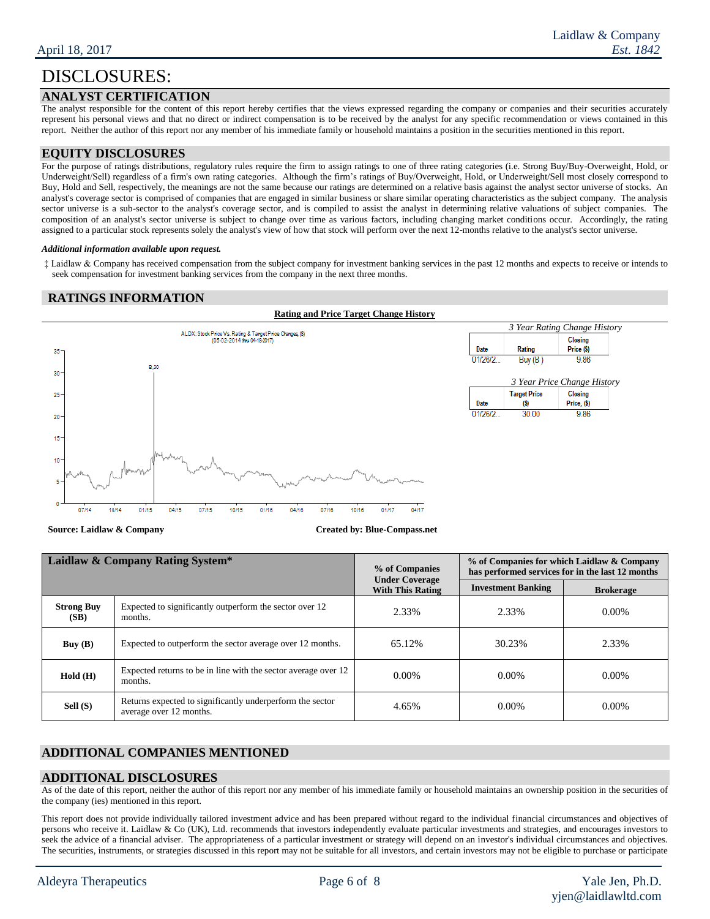### **ANALYST CERTIFICATION**

The analyst responsible for the content of this report hereby certifies that the views expressed regarding the company or companies and their securities accurately represent his personal views and that no direct or indirect compensation is to be received by the analyst for any specific recommendation or views contained in this report. Neither the author of this report nor any member of his immediate family or household maintains a position in the securities mentioned in this report.

#### **EQUITY DISCLOSURES**

For the purpose of ratings distributions, regulatory rules require the firm to assign ratings to one of three rating categories (i.e. Strong Buy/Buy-Overweight, Hold, or Underweight/Sell) regardless of a firm's own rating categories. Although the firm's ratings of Buy/Overweight, Hold, or Underweight/Sell most closely correspond to Buy, Hold and Sell, respectively, the meanings are not the same because our ratings are determined on a relative basis against the analyst sector universe of stocks. An analyst's coverage sector is comprised of companies that are engaged in similar business or share similar operating characteristics as the subject company. The analysis sector universe is a sub-sector to the analyst's coverage sector, and is compiled to assist the analyst in determining relative valuations of subject companies. The composition of an analyst's sector universe is subject to change over time as various factors, including changing market conditions occur. Accordingly, the rating assigned to a particular stock represents solely the analyst's view of how that stock will perform over the next 12-months relative to the analyst's sector universe.

#### *Additional information available upon request.*

‡ Laidlaw & Company has received compensation from the subject company for investment banking services in the past 12 months and expects to receive or intends to seek compensation for investment banking services from the company in the next three months.

#### **RATINGS INFORMATION**



**Source: Laidlaw & Company Created by: Blue-Compass.net**

| Laidlaw & Company Rating System* |                                                                                      | % of Companies<br><b>Under Coverage</b> | % of Companies for which Laidlaw & Company<br>has performed services for in the last 12 months |                  |  |  |
|----------------------------------|--------------------------------------------------------------------------------------|-----------------------------------------|------------------------------------------------------------------------------------------------|------------------|--|--|
|                                  |                                                                                      | <b>With This Rating</b>                 | <b>Investment Banking</b>                                                                      | <b>Brokerage</b> |  |  |
| <b>Strong Buy</b><br>(SB)        | Expected to significantly outperform the sector over 12<br>months.                   | 2.33%                                   | 2.33%                                                                                          | $0.00\%$         |  |  |
| Buy $(B)$                        | Expected to outperform the sector average over 12 months.                            | 65.12%                                  | 30.23%                                                                                         | 2.33%            |  |  |
| Hold(H)                          | Expected returns to be in line with the sector average over 12<br>months.            | $0.00\%$                                | $0.00\%$                                                                                       | $0.00\%$         |  |  |
| Sell (S)                         | Returns expected to significantly underperform the sector<br>average over 12 months. | 4.65%                                   | $0.00\%$                                                                                       | $0.00\%$         |  |  |

## **ADDITIONAL COMPANIES MENTIONED**

#### **ADDITIONAL DISCLOSURES**

As of the date of this report, neither the author of this report nor any member of his immediate family or household maintains an ownership position in the securities of the company (ies) mentioned in this report.

This report does not provide individually tailored investment advice and has been prepared without regard to the individual financial circumstances and objectives of persons who receive it. Laidlaw & Co (UK), Ltd. recommends that investors independently evaluate particular investments and strategies, and encourages investors to seek the advice of a financial adviser. The appropriateness of a particular investment or strategy will depend on an investor's individual circumstances and objectives. The securities, instruments, or strategies discussed in this report may not be suitable for all investors, and certain investors may not be eligible to purchase or participate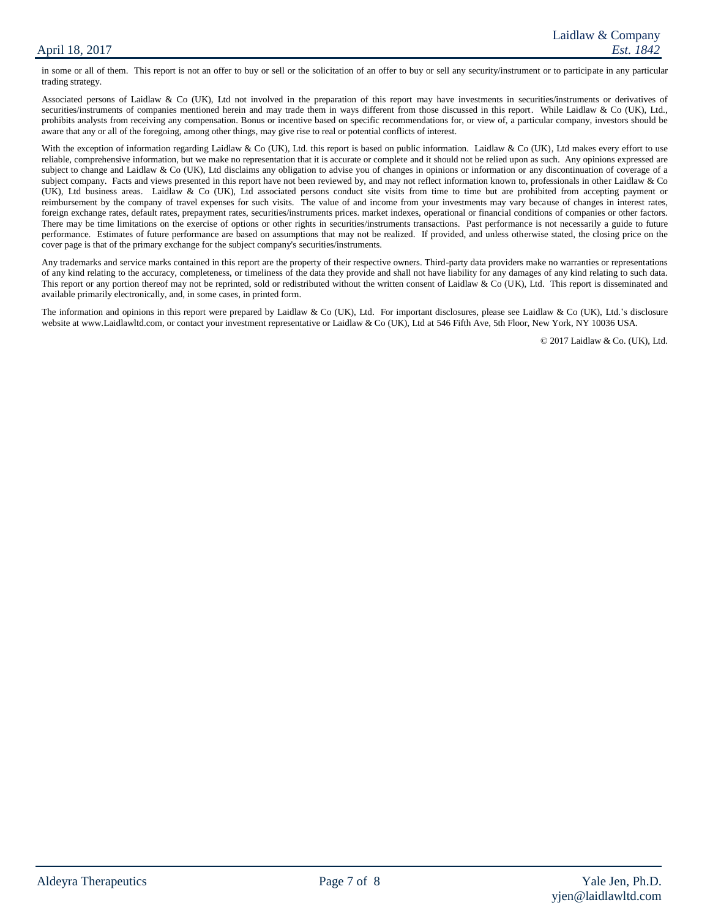in some or all of them. This report is not an offer to buy or sell or the solicitation of an offer to buy or sell any security/instrument or to participate in any particular trading strategy.

Associated persons of Laidlaw & Co (UK), Ltd not involved in the preparation of this report may have investments in securities/instruments or derivatives of securities/instruments of companies mentioned herein and may trade them in ways different from those discussed in this report. While Laidlaw & Co (UK), Ltd., prohibits analysts from receiving any compensation. Bonus or incentive based on specific recommendations for, or view of, a particular company, investors should be aware that any or all of the foregoing, among other things, may give rise to real or potential conflicts of interest.

With the exception of information regarding Laidlaw & Co (UK), Ltd. this report is based on public information. Laidlaw & Co (UK), Ltd makes every effort to use reliable, comprehensive information, but we make no representation that it is accurate or complete and it should not be relied upon as such. Any opinions expressed are subject to change and Laidlaw & Co (UK), Ltd disclaims any obligation to advise you of changes in opinions or information or any discontinuation of coverage of a subject company. Facts and views presented in this report have not been reviewed by, and may not reflect information known to, professionals in other Laidlaw & Co (UK), Ltd business areas. Laidlaw & Co (UK), Ltd associated persons conduct site visits from time to time but are prohibited from accepting payment or reimbursement by the company of travel expenses for such visits. The value of and income from your investments may vary because of changes in interest rates, foreign exchange rates, default rates, prepayment rates, securities/instruments prices. market indexes, operational or financial conditions of companies or other factors. There may be time limitations on the exercise of options or other rights in securities/instruments transactions. Past performance is not necessarily a guide to future performance. Estimates of future performance are based on assumptions that may not be realized. If provided, and unless otherwise stated, the closing price on the cover page is that of the primary exchange for the subject company's securities/instruments.

Any trademarks and service marks contained in this report are the property of their respective owners. Third-party data providers make no warranties or representations of any kind relating to the accuracy, completeness, or timeliness of the data they provide and shall not have liability for any damages of any kind relating to such data. This report or any portion thereof may not be reprinted, sold or redistributed without the written consent of Laidlaw & Co (UK), Ltd. This report is disseminated and available primarily electronically, and, in some cases, in printed form.

The information and opinions in this report were prepared by Laidlaw & Co (UK), Ltd. For important disclosures, please see Laidlaw & Co (UK), Ltd.'s disclosure website at www.Laidlawltd.com, or contact your investment representative or Laidlaw & Co (UK), Ltd at 546 Fifth Ave, 5th Floor, New York, NY 10036 USA.

© 2017 Laidlaw & Co. (UK), Ltd.